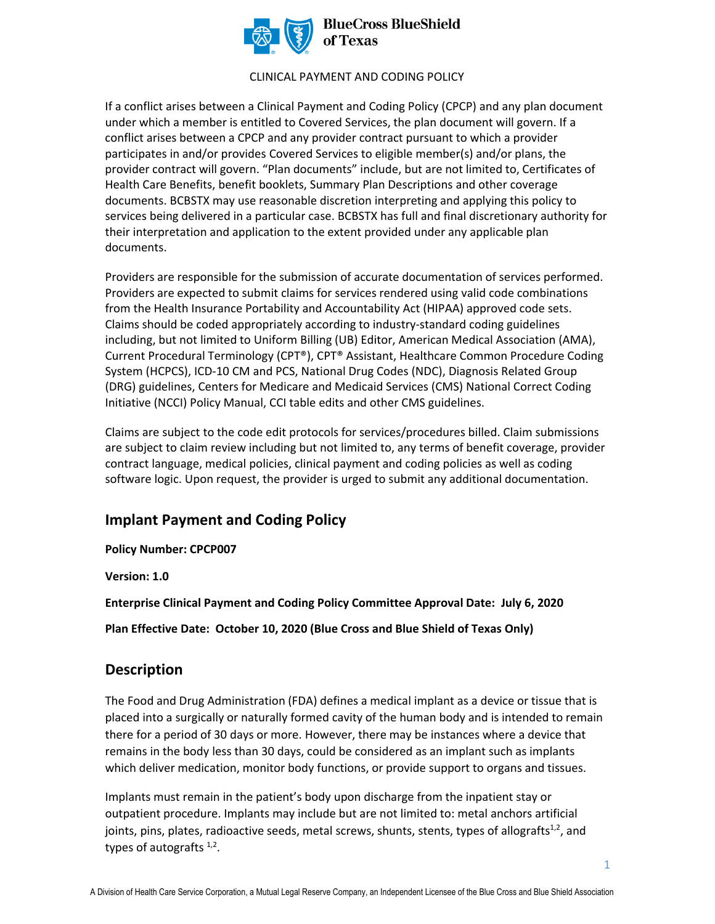

#### **BlueCross BlueShield** of Texas

### CLINICAL PAYMENT AND CODING POLICY

If a conflict arises between a Clinical Payment and Coding Policy (CPCP) and any plan document under which a member is entitled to Covered Services, the plan document will govern. If a conflict arises between a CPCP and any provider contract pursuant to which a provider participates in and/or provides Covered Services to eligible member(s) and/or plans, the provider contract will govern. "Plan documents" include, but are not limited to, Certificates of Health Care Benefits, benefit booklets, Summary Plan Descriptions and other coverage documents. BCBSTX may use reasonable discretion interpreting and applying this policy to services being delivered in a particular case. BCBSTX has full and final discretionary authority for their interpretation and application to the extent provided under any applicable plan documents.

Providers are responsible for the submission of accurate documentation of services performed. Providers are expected to submit claims for services rendered using valid code combinations from the Health Insurance Portability and Accountability Act (HIPAA) approved code sets. Claims should be coded appropriately according to industry-standard coding guidelines including, but not limited to Uniform Billing (UB) Editor, American Medical Association (AMA), Current Procedural Terminology (CPT®), CPT® Assistant, Healthcare Common Procedure Coding System (HCPCS), ICD-10 CM and PCS, National Drug Codes (NDC), Diagnosis Related Group (DRG) guidelines, Centers for Medicare and Medicaid Services (CMS) National Correct Coding Initiative (NCCI) Policy Manual, CCI table edits and other CMS guidelines.

Claims are subject to the code edit protocols for services/procedures billed. Claim submissions are subject to claim review including but not limited to, any terms of benefit coverage, provider contract language, medical policies, clinical payment and coding policies as well as coding software logic. Upon request, the provider is urged to submit any additional documentation.

## **Implant Payment and Coding Policy**

**Policy Number: CPCP007** 

**Version: 1.0** 

**Enterprise Clinical Payment and Coding Policy Committee Approval Date: July 6, 2020** 

**Plan Effective Date: October 10, 2020 (Blue Cross and Blue Shield of Texas Only)** 

## **Description**

The Food and Drug Administration (FDA) defines a medical implant as a device or tissue that is placed into a surgically or naturally formed cavity of the human body and is intended to remain there for a period of 30 days or more. However, there may be instances where a device that remains in the body less than 30 days, could be considered as an implant such as implants which deliver medication, monitor body functions, or provide support to organs and tissues.

Implants must remain in the patient's body upon discharge from the inpatient stay or outpatient procedure. Implants may include but are not limited to: metal anchors artificial joints, pins, plates, radioactive seeds, metal screws, shunts, stents, types of allografts $^{1,2}$ , and types of autografts <sup>1,2</sup>.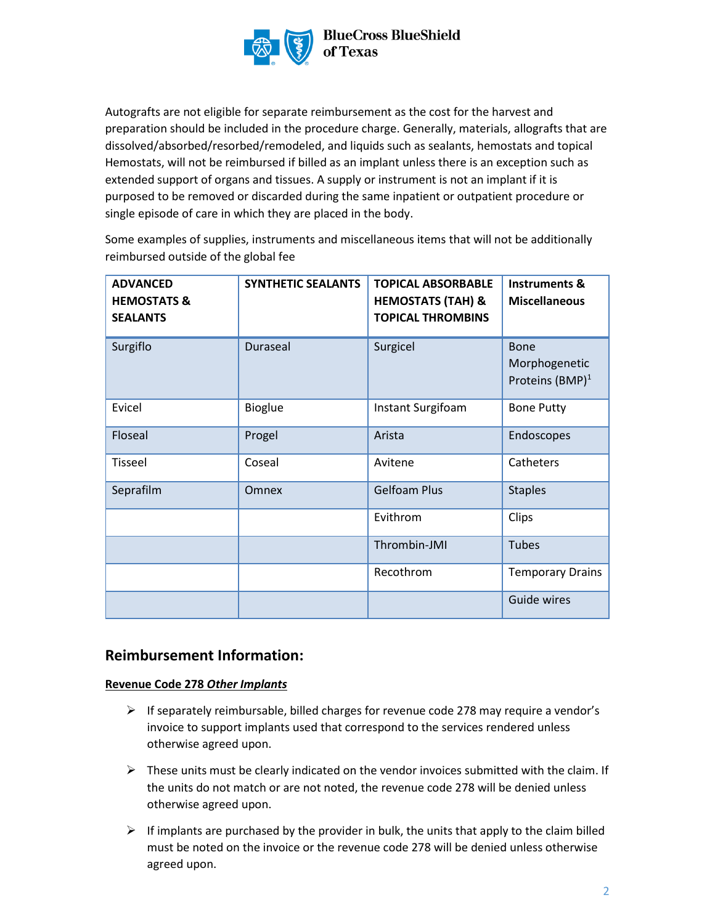

Autografts are not eligible for separate reimbursement as the cost for the harvest and preparation should be included in the procedure charge. Generally, materials, allografts that are dissolved/absorbed/resorbed/remodeled, and liquids such as sealants, hemostats and topical Hemostats, will not be reimbursed if billed as an implant unless there is an exception such as extended support of organs and tissues. A supply or instrument is not an implant if it is purposed to be removed or discarded during the same inpatient or outpatient procedure or single episode of care in which they are placed in the body.

Some examples of supplies, instruments and miscellaneous items that will not be additionally reimbursed outside of the global fee

| <b>ADVANCED</b><br><b>HEMOSTATS &amp;</b><br><b>SEALANTS</b> | <b>SYNTHETIC SEALANTS</b> | <b>TOPICAL ABSORBABLE</b><br><b>HEMOSTATS (TAH) &amp;</b><br><b>TOPICAL THROMBINS</b> | <b>Instruments &amp;</b><br><b>Miscellaneous</b>     |
|--------------------------------------------------------------|---------------------------|---------------------------------------------------------------------------------------|------------------------------------------------------|
| Surgiflo                                                     | Duraseal                  | Surgicel                                                                              | Bone<br>Morphogenetic<br>Proteins (BMP) <sup>1</sup> |
| Evicel                                                       | <b>Bioglue</b>            | Instant Surgifoam                                                                     | <b>Bone Putty</b>                                    |
| Floseal                                                      | Progel                    | Arista                                                                                | Endoscopes                                           |
| <b>Tisseel</b>                                               | Coseal                    | Avitene                                                                               | Catheters                                            |
| Seprafilm                                                    | <b>Omnex</b>              | <b>Gelfoam Plus</b>                                                                   | <b>Staples</b>                                       |
|                                                              |                           | Evithrom                                                                              | Clips                                                |
|                                                              |                           | Thrombin-JMI                                                                          | <b>Tubes</b>                                         |
|                                                              |                           | Recothrom                                                                             | <b>Temporary Drains</b>                              |
|                                                              |                           |                                                                                       | Guide wires                                          |

## **Reimbursement Information:**

### **Revenue Code 278** *Other Implants*

- $\triangleright$  If separately reimbursable, billed charges for revenue code 278 may require a vendor's invoice to support implants used that correspond to the services rendered unless otherwise agreed upon.
- $\triangleright$  These units must be clearly indicated on the vendor invoices submitted with the claim. If the units do not match or are not noted, the revenue code 278 will be denied unless otherwise agreed upon.
- $\triangleright$  If implants are purchased by the provider in bulk, the units that apply to the claim billed must be noted on the invoice or the revenue code 278 will be denied unless otherwise agreed upon.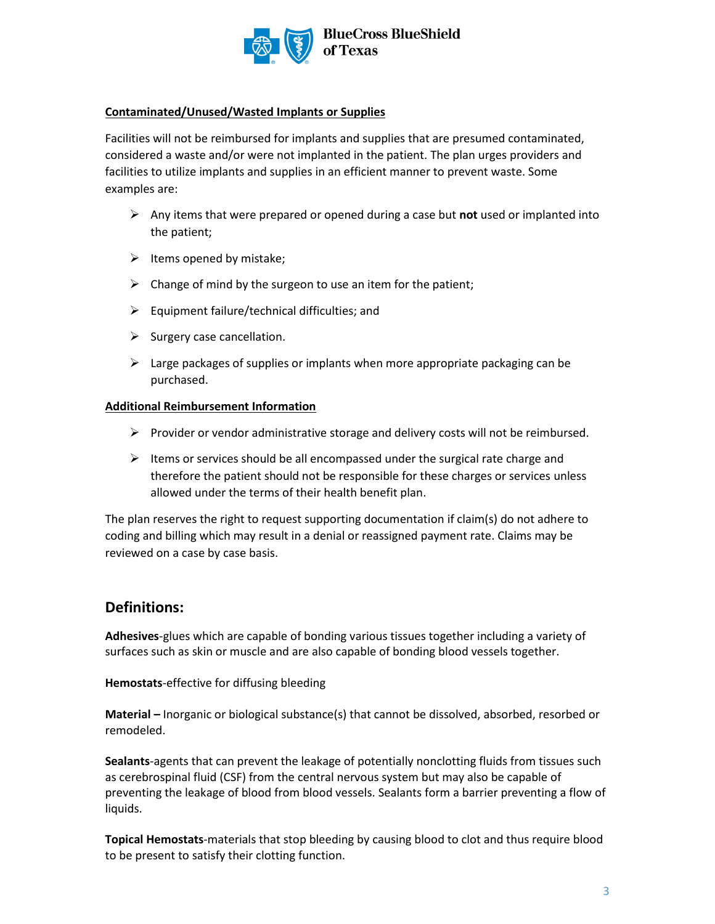

# **BlueCross BlueShield**

### **Contaminated/Unused/Wasted Implants or Supplies**

Facilities will not be reimbursed for implants and supplies that are presumed contaminated, considered a waste and/or were not implanted in the patient. The plan urges providers and facilities to utilize implants and supplies in an efficient manner to prevent waste. Some examples are:

- ➢ Any items that were prepared or opened during a case but **not** used or implanted into the patient;
- $\triangleright$  Items opened by mistake;
- $\triangleright$  Change of mind by the surgeon to use an item for the patient;
- $\triangleright$  Equipment failure/technical difficulties; and
- $\triangleright$  Surgery case cancellation.
- $\triangleright$  Large packages of supplies or implants when more appropriate packaging can be purchased.

### **Additional Reimbursement Information**

- $\triangleright$  Provider or vendor administrative storage and delivery costs will not be reimbursed.
- $\triangleright$  Items or services should be all encompassed under the surgical rate charge and therefore the patient should not be responsible for these charges or services unless allowed under the terms of their health benefit plan.

The plan reserves the right to request supporting documentation if claim(s) do not adhere to coding and billing which may result in a denial or reassigned payment rate. Claims may be reviewed on a case by case basis.

## **Definitions:**

**Adhesives**-glues which are capable of bonding various tissues together including a variety of surfaces such as skin or muscle and are also capable of bonding blood vessels together.

**Hemostats**-effective for diffusing bleeding

**Material –** Inorganic or biological substance(s) that cannot be dissolved, absorbed, resorbed or remodeled.

**Sealants**-agents that can prevent the leakage of potentially nonclotting fluids from tissues such as cerebrospinal fluid (CSF) from the central nervous system but may also be capable of preventing the leakage of blood from blood vessels. Sealants form a barrier preventing a flow of liquids.

**Topical Hemostats**-materials that stop bleeding by causing blood to clot and thus require blood to be present to satisfy their clotting function.